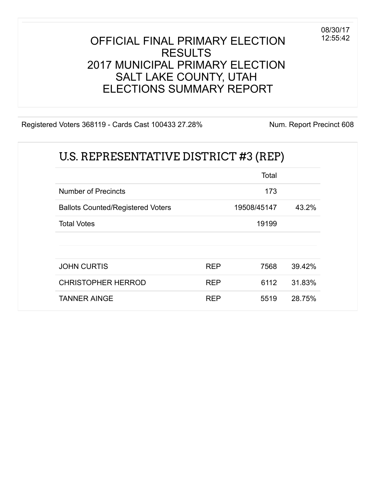#### OFFICIAL FINAL PRIMARY ELECTION RESULTS 2017 MUNICIPAL PRIMARY ELECTION SALT LAKE COUNTY, UTAH ELECTIONS SUMMARY REPORT

Registered Voters 368119 - Cards Cast 100433 27.28% Num. Report Precinct 608

08/30/17 12:55:42

|                                          |            | Total       |        |
|------------------------------------------|------------|-------------|--------|
| <b>Number of Precincts</b>               |            | 173         |        |
| <b>Ballots Counted/Registered Voters</b> |            | 19508/45147 | 43.2%  |
| <b>Total Votes</b>                       |            | 19199       |        |
| <b>JOHN CURTIS</b>                       | <b>REP</b> | 7568        | 39.42% |
| <b>CHRISTOPHER HERROD</b>                | <b>REP</b> | 6112        | 31.83% |
| <b>TANNER AINGE</b>                      | <b>REP</b> | 5519        | 28.75% |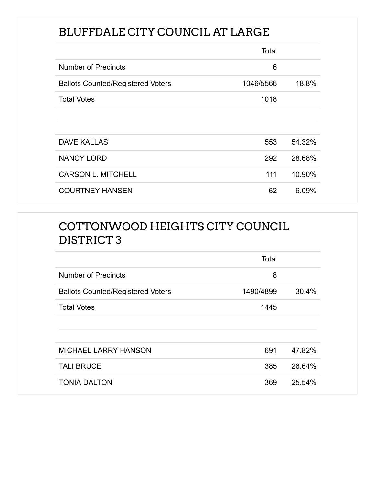## BLUFFDALE CITY COUNCIL AT LARGE

|                                          | Total     |        |
|------------------------------------------|-----------|--------|
| <b>Number of Precincts</b>               | 6         |        |
| <b>Ballots Counted/Registered Voters</b> | 1046/5566 | 18.8%  |
| <b>Total Votes</b>                       | 1018      |        |
|                                          |           |        |
|                                          |           |        |
| <b>DAVE KALLAS</b>                       | 553       | 54.32% |
| <b>NANCY LORD</b>                        | 292       | 28.68% |
| <b>CARSON L. MITCHELL</b>                | 111       | 10.90% |
| <b>COURTNEY HANSEN</b>                   | 62        | 6.09%  |

### COTTONWOOD HEIGHTS CITY COUNCIL DISTRICT 3

|                                          | Total     |        |
|------------------------------------------|-----------|--------|
| <b>Number of Precincts</b>               | 8         |        |
| <b>Ballots Counted/Registered Voters</b> | 1490/4899 | 30.4%  |
| <b>Total Votes</b>                       | 1445      |        |
|                                          |           |        |
|                                          |           |        |
| <b>MICHAEL LARRY HANSON</b>              | 691       | 47.82% |
| <b>TALI BRUCE</b>                        | 385       | 26.64% |
| <b>TONIA DALTON</b>                      | 369       | 25.54% |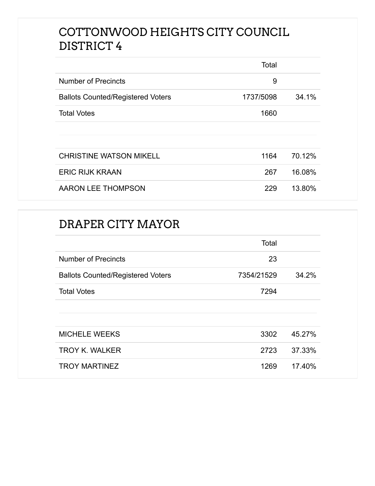### COTTONWOOD HEIGHTS CITY COUNCIL DISTRICT 4

|                                          | Total     |        |
|------------------------------------------|-----------|--------|
| <b>Number of Precincts</b>               | 9         |        |
| <b>Ballots Counted/Registered Voters</b> | 1737/5098 | 34.1%  |
| <b>Total Votes</b>                       | 1660      |        |
|                                          |           |        |
|                                          |           |        |
| <b>CHRISTINE WATSON MIKELL</b>           | 1164      | 70.12% |
| <b>ERIC RIJK KRAAN</b>                   | 267       | 16.08% |
| AARON LEE THOMPSON                       | 229       | 13.80% |

#### DRAPER CITY MAYOR

|                                          | Total      |        |
|------------------------------------------|------------|--------|
| <b>Number of Precincts</b>               | 23         |        |
| <b>Ballots Counted/Registered Voters</b> | 7354/21529 | 34.2%  |
| <b>Total Votes</b>                       | 7294       |        |
|                                          |            |        |
|                                          |            |        |
| <b>MICHELE WEEKS</b>                     | 3302       | 45.27% |
| <b>TROY K. WALKER</b>                    | 2723       | 37.33% |
| <b>TROY MARTINEZ</b>                     | 1269       | 17.40% |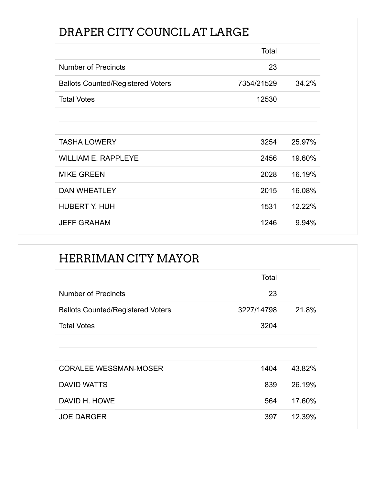### DRAPER CITY COUNCIL AT LARGE

|                                          | Total      |        |
|------------------------------------------|------------|--------|
| <b>Number of Precincts</b>               | 23         |        |
| <b>Ballots Counted/Registered Voters</b> | 7354/21529 | 34.2%  |
| <b>Total Votes</b>                       | 12530      |        |
|                                          |            |        |
|                                          |            |        |
| <b>TASHA LOWERY</b>                      | 3254       | 25.97% |
| <b>WILLIAM E. RAPPLEYE</b>               | 2456       | 19.60% |
| <b>MIKE GREEN</b>                        | 2028       | 16.19% |
| <b>DAN WHEATLEY</b>                      | 2015       | 16.08% |
| <b>HUBERT Y. HUH</b>                     | 1531       | 12.22% |
| <b>JEFF GRAHAM</b>                       | 1246       | 9.94%  |

### HERRIMAN CITY MAYOR

|                                          | Total      |        |
|------------------------------------------|------------|--------|
| <b>Number of Precincts</b>               | 23         |        |
| <b>Ballots Counted/Registered Voters</b> | 3227/14798 | 21.8%  |
| <b>Total Votes</b>                       | 3204       |        |
|                                          |            |        |
|                                          |            |        |
| <b>CORALEE WESSMAN-MOSER</b>             | 1404       | 43.82% |
| <b>DAVID WATTS</b>                       | 839        | 26.19% |
| DAVID H. HOWE                            | 564        | 17.60% |
| <b>JOE DARGER</b>                        | 397        | 12.39% |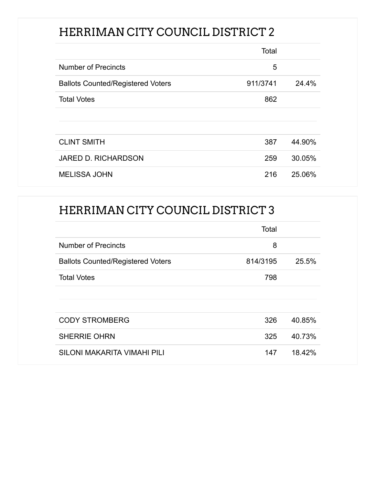## HERRIMAN CITY COUNCIL DISTRICT 2

|                                          | Total    |        |
|------------------------------------------|----------|--------|
| <b>Number of Precincts</b>               | 5        |        |
| <b>Ballots Counted/Registered Voters</b> | 911/3741 | 24.4%  |
| <b>Total Votes</b>                       | 862      |        |
|                                          |          |        |
|                                          |          |        |
| <b>CLINT SMITH</b>                       | 387      | 44.90% |
| <b>JARED D. RICHARDSON</b>               | 259      | 30.05% |
| <b>MELISSA JOHN</b>                      | 216      | 25.06% |

### HERRIMAN CITY COUNCIL DISTRICT 3

|                                          | Total    |        |
|------------------------------------------|----------|--------|
| <b>Number of Precincts</b>               | 8        |        |
| <b>Ballots Counted/Registered Voters</b> | 814/3195 | 25.5%  |
| <b>Total Votes</b>                       | 798      |        |
|                                          |          |        |
|                                          |          |        |
| <b>CODY STROMBERG</b>                    | 326      | 40.85% |
| <b>SHERRIE OHRN</b>                      | 325      | 40.73% |
| SILONI MAKARITA VIMAHI PILI              | 147      | 18.42% |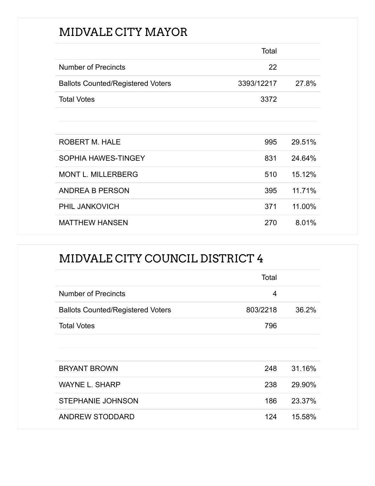## MIDVALE CITY MAYOR

|                                          | Total      |        |
|------------------------------------------|------------|--------|
| <b>Number of Precincts</b>               | 22         |        |
| <b>Ballots Counted/Registered Voters</b> | 3393/12217 | 27.8%  |
| <b>Total Votes</b>                       | 3372       |        |
|                                          |            |        |
|                                          |            |        |
| <b>ROBERT M. HALE</b>                    | 995        | 29.51% |
| SOPHIA HAWES-TINGEY                      | 831        | 24.64% |
| <b>MONT L. MILLERBERG</b>                | 510        | 15.12% |
| ANDREA B PERSON                          | 395        | 11.71% |
| PHIL JANKOVICH                           | 371        | 11.00% |
| <b>MATTHEW HANSEN</b>                    | 270        | 8.01%  |

## MIDVALE CITY COUNCIL DISTRICT 4

|                                          | Total    |        |
|------------------------------------------|----------|--------|
| <b>Number of Precincts</b>               | 4        |        |
| <b>Ballots Counted/Registered Voters</b> | 803/2218 | 36.2%  |
| <b>Total Votes</b>                       | 796      |        |
|                                          |          |        |
|                                          |          |        |
| <b>BRYANT BROWN</b>                      | 248      | 31.16% |
| <b>WAYNE L. SHARP</b>                    | 238      | 29.90% |
| <b>STEPHANIE JOHNSON</b>                 | 186      | 23.37% |
| <b>ANDREW STODDARD</b>                   | 124      | 15.58% |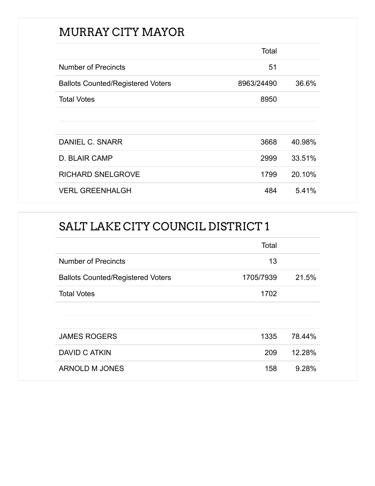## MURRAY CITY MAYOR

|                                          | Total      |        |
|------------------------------------------|------------|--------|
| <b>Number of Precincts</b>               | 51         |        |
| <b>Ballots Counted/Registered Voters</b> | 8963/24490 | 36.6%  |
| <b>Total Votes</b>                       | 8950       |        |
|                                          |            |        |
|                                          |            |        |
| DANIEL C. SNARR                          | 3668       | 40.98% |
| D. BLAIR CAMP                            | 2999       | 33.51% |
| <b>RICHARD SNELGROVE</b>                 | 1799       | 20.10% |
| <b>VERL GREENHALGH</b>                   | 484        | 5.41%  |

## SALT LAKE CITY COUNCIL DISTRICT 1

|                                          | Total     |        |
|------------------------------------------|-----------|--------|
| <b>Number of Precincts</b>               | 13        |        |
| <b>Ballots Counted/Registered Voters</b> | 1705/7939 | 21.5%  |
| <b>Total Votes</b>                       | 1702      |        |
|                                          |           |        |
|                                          |           |        |
| <b>JAMES ROGERS</b>                      | 1335      | 78.44% |
| DAVID C ATKIN                            | 209       | 12.28% |
| ARNOLD M JONES                           | 158       | 9.28%  |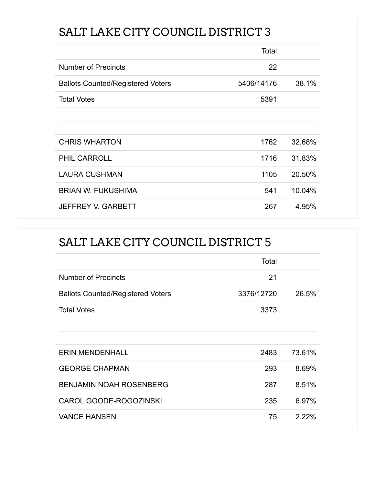## SALT LAKE CITY COUNCIL DISTRICT 3

|                                          | Total      |        |
|------------------------------------------|------------|--------|
| <b>Number of Precincts</b>               | 22         |        |
| <b>Ballots Counted/Registered Voters</b> | 5406/14176 | 38.1%  |
| <b>Total Votes</b>                       | 5391       |        |
|                                          |            |        |
|                                          |            |        |
| <b>CHRIS WHARTON</b>                     | 1762       | 32.68% |
| <b>PHIL CARROLL</b>                      | 1716       | 31.83% |
| <b>LAURA CUSHMAN</b>                     | 1105       | 20.50% |
| <b>BRIAN W. FUKUSHIMA</b>                | 541        | 10.04% |
| <b>JEFFREY V. GARBETT</b>                | 267        | 4.95%  |

### SALT LAKE CITY COUNCIL DISTRICT 5

|                                          | Total      |        |
|------------------------------------------|------------|--------|
| <b>Number of Precincts</b>               | 21         |        |
| <b>Ballots Counted/Registered Voters</b> | 3376/12720 | 26.5%  |
| <b>Total Votes</b>                       | 3373       |        |
|                                          |            |        |
|                                          |            |        |
| <b>ERIN MENDENHALL</b>                   | 2483       | 73.61% |
| <b>GEORGE CHAPMAN</b>                    | 293        | 8.69%  |
| <b>BENJAMIN NOAH ROSENBERG</b>           | 287        | 8.51%  |
| CAROL GOODE-ROGOZINSKI                   | 235        | 6.97%  |
| <b>VANCE HANSEN</b>                      | 75         | 2.22%  |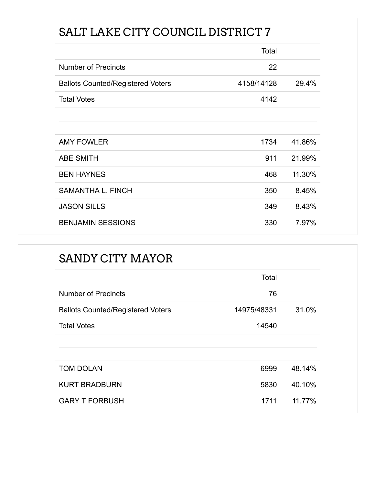# SALT LAKE CITY COUNCIL DISTRICT 7

|                                          | Total      |        |
|------------------------------------------|------------|--------|
| <b>Number of Precincts</b>               | 22         |        |
| <b>Ballots Counted/Registered Voters</b> | 4158/14128 | 29.4%  |
| <b>Total Votes</b>                       | 4142       |        |
|                                          |            |        |
|                                          |            |        |
| <b>AMY FOWLER</b>                        | 1734       | 41.86% |
| <b>ABE SMITH</b>                         | 911        | 21.99% |
| <b>BEN HAYNES</b>                        | 468        | 11.30% |
| <b>SAMANTHA L. FINCH</b>                 | 350        | 8.45%  |
| <b>JASON SILLS</b>                       | 349        | 8.43%  |
| <b>BENJAMIN SESSIONS</b>                 | 330        | 7.97%  |

### SANDY CITY MAYOR

|                                          | Total       |        |
|------------------------------------------|-------------|--------|
| <b>Number of Precincts</b>               | 76          |        |
| <b>Ballots Counted/Registered Voters</b> | 14975/48331 | 31.0%  |
| <b>Total Votes</b>                       | 14540       |        |
|                                          |             |        |
|                                          |             |        |
| <b>TOM DOLAN</b>                         | 6999        | 48.14% |
| <b>KURT BRADBURN</b>                     | 5830        | 40.10% |
| <b>GARY T FORBUSH</b>                    | 1711        | 11.77% |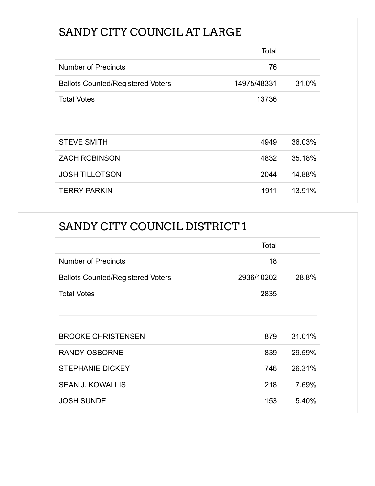## SANDY CITY COUNCIL AT LARGE

|                                          | Total       |        |
|------------------------------------------|-------------|--------|
| <b>Number of Precincts</b>               | 76          |        |
| <b>Ballots Counted/Registered Voters</b> | 14975/48331 | 31.0%  |
| <b>Total Votes</b>                       | 13736       |        |
|                                          |             |        |
|                                          |             |        |
| <b>STEVE SMITH</b>                       | 4949        | 36.03% |
| <b>ZACH ROBINSON</b>                     | 4832        | 35.18% |
| <b>JOSH TILLOTSON</b>                    | 2044        | 14.88% |
| <b>TERRY PARKIN</b>                      | 1911        | 13.91% |

## SANDY CITY COUNCIL DISTRICT 1

|                                          | Total      |        |
|------------------------------------------|------------|--------|
| <b>Number of Precincts</b>               | 18         |        |
| <b>Ballots Counted/Registered Voters</b> | 2936/10202 | 28.8%  |
| <b>Total Votes</b>                       | 2835       |        |
|                                          |            |        |
|                                          |            |        |
| <b>BROOKE CHRISTENSEN</b>                | 879        | 31.01% |
| <b>RANDY OSBORNE</b>                     | 839        | 29.59% |
| <b>STEPHANIE DICKEY</b>                  | 746        | 26.31% |
| <b>SEAN J. KOWALLIS</b>                  | 218        | 7.69%  |
| <b>JOSH SUNDE</b>                        | 153        | 5.40%  |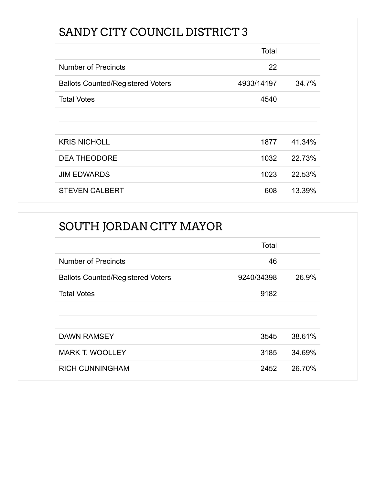## SANDY CITY COUNCIL DISTRICT 3

|                                          | Total      |        |
|------------------------------------------|------------|--------|
| <b>Number of Precincts</b>               | 22         |        |
| <b>Ballots Counted/Registered Voters</b> | 4933/14197 | 34.7%  |
| <b>Total Votes</b>                       | 4540       |        |
|                                          |            |        |
|                                          |            |        |
| <b>KRIS NICHOLL</b>                      | 1877       | 41.34% |
| <b>DEA THEODORE</b>                      | 1032       | 22.73% |
| <b>JIM EDWARDS</b>                       | 1023       | 22.53% |
| <b>STEVEN CALBERT</b>                    | 608        | 13.39% |

## SOUTH JORDAN CITY MAYOR

|                                          | Total      |        |
|------------------------------------------|------------|--------|
| <b>Number of Precincts</b>               | 46         |        |
| <b>Ballots Counted/Registered Voters</b> | 9240/34398 | 26.9%  |
| <b>Total Votes</b>                       | 9182       |        |
|                                          |            |        |
|                                          |            |        |
| <b>DAWN RAMSEY</b>                       | 3545       | 38.61% |
| <b>MARK T. WOOLLEY</b>                   | 3185       | 34.69% |
| <b>RICH CUNNINGHAM</b>                   | 2452       | 26.70% |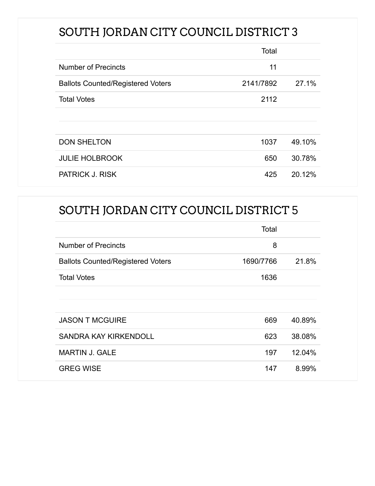## SOUTH JORDAN CITY COUNCIL DISTRICT 3

|                                          | Total     |        |
|------------------------------------------|-----------|--------|
| <b>Number of Precincts</b>               | 11        |        |
| <b>Ballots Counted/Registered Voters</b> | 2141/7892 | 27.1%  |
| <b>Total Votes</b>                       | 2112      |        |
|                                          |           |        |
|                                          |           |        |
| <b>DON SHELTON</b>                       | 1037      | 49.10% |
| <b>JULIE HOLBROOK</b>                    | 650       | 30.78% |
| <b>PATRICK J. RISK</b>                   | 425       | 20.12% |

### SOUTH JORDAN CITY COUNCIL DISTRICT 5

|                                          | Total     |        |
|------------------------------------------|-----------|--------|
| <b>Number of Precincts</b>               | 8         |        |
| <b>Ballots Counted/Registered Voters</b> | 1690/7766 | 21.8%  |
| <b>Total Votes</b>                       | 1636      |        |
|                                          |           |        |
|                                          |           |        |
| <b>JASON T MCGUIRE</b>                   | 669       | 40.89% |
| SANDRA KAY KIRKENDOLL                    | 623       | 38.08% |
| <b>MARTIN J. GALE</b>                    | 197       | 12.04% |
| <b>GREG WISE</b>                         | 147       | 8.99%  |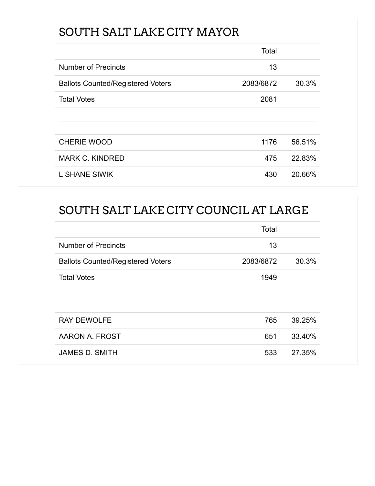## SOUTH SALT LAKE CITY MAYOR

|                                          | Total     |        |
|------------------------------------------|-----------|--------|
| <b>Number of Precincts</b>               | 13        |        |
| <b>Ballots Counted/Registered Voters</b> | 2083/6872 | 30.3%  |
| <b>Total Votes</b>                       | 2081      |        |
|                                          |           |        |
|                                          |           |        |
| <b>CHERIE WOOD</b>                       | 1176      | 56.51% |
| <b>MARK C. KINDRED</b>                   | 475       | 22.83% |
| <b>L SHANE SIWIK</b>                     | 430       | 20.66% |

## SOUTH SALT LAKE CITY COUNCIL AT LARGE

|                                          | Total     |        |
|------------------------------------------|-----------|--------|
| <b>Number of Precincts</b>               | 13        |        |
| <b>Ballots Counted/Registered Voters</b> | 2083/6872 | 30.3%  |
| <b>Total Votes</b>                       | 1949      |        |
|                                          |           |        |
|                                          |           |        |
| <b>RAY DEWOLFE</b>                       | 765       | 39.25% |
| AARON A. FROST                           | 651       | 33.40% |
| <b>JAMES D. SMITH</b>                    | 533       | 27.35% |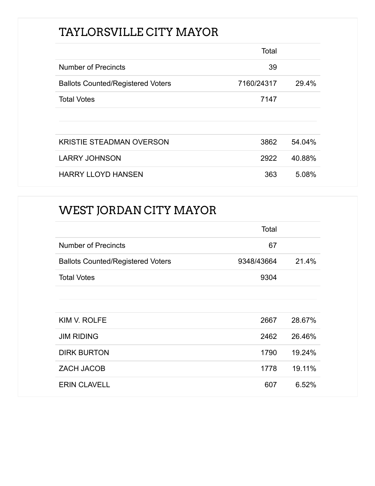## TAYLORSVILLE CITY MAYOR

|                                          | Total      |        |
|------------------------------------------|------------|--------|
| <b>Number of Precincts</b>               | 39         |        |
| <b>Ballots Counted/Registered Voters</b> | 7160/24317 | 29.4%  |
| <b>Total Votes</b>                       | 7147       |        |
|                                          |            |        |
|                                          |            |        |
| <b>KRISTIE STEADMAN OVERSON</b>          | 3862       | 54.04% |
| <b>LARRY JOHNSON</b>                     | 2922       | 40.88% |
| <b>HARRY LLOYD HANSEN</b>                | 363        | 5.08%  |

### WEST JORDAN CITY MAYOR

|                                          | Total      |        |
|------------------------------------------|------------|--------|
| <b>Number of Precincts</b>               | 67         |        |
| <b>Ballots Counted/Registered Voters</b> | 9348/43664 | 21.4%  |
| <b>Total Votes</b>                       | 9304       |        |
|                                          |            |        |
| KIM V. ROLFE                             | 2667       | 28.67% |
| <b>JIM RIDING</b>                        | 2462       | 26.46% |
| <b>DIRK BURTON</b>                       | 1790       | 19.24% |
| <b>ZACH JACOB</b>                        | 1778       | 19.11% |
| <b>ERIN CLAVELL</b>                      | 607        | 6.52%  |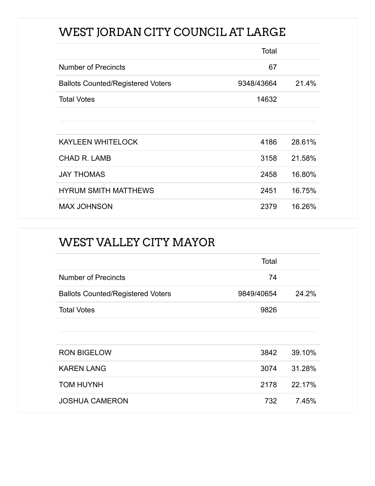# WEST JORDAN CITY COUNCIL AT LARGE

|                                          | Total      |        |
|------------------------------------------|------------|--------|
| <b>Number of Precincts</b>               | 67         |        |
| <b>Ballots Counted/Registered Voters</b> | 9348/43664 | 21.4%  |
| <b>Total Votes</b>                       | 14632      |        |
|                                          |            |        |
|                                          |            |        |
| <b>KAYLEEN WHITELOCK</b>                 | 4186       | 28.61% |
| <b>CHAD R. LAMB</b>                      | 3158       | 21.58% |
| <b>JAY THOMAS</b>                        | 2458       | 16.80% |
| <b>HYRUM SMITH MATTHEWS</b>              | 2451       | 16.75% |
| <b>MAX JOHNSON</b>                       | 2379       | 16.26% |

| <b>WEST VALLEY CITY MAYOR</b>            |            |        |
|------------------------------------------|------------|--------|
|                                          | Total      |        |
| <b>Number of Precincts</b>               | 74         |        |
| <b>Ballots Counted/Registered Voters</b> | 9849/40654 | 24.2%  |
| <b>Total Votes</b>                       | 9826       |        |
| <b>RON BIGELOW</b>                       | 3842       | 39.10% |
| <b>KAREN LANG</b>                        | 3074       | 31.28% |
| <b>TOM HUYNH</b>                         | 2178       | 22.17% |
| <b>JOSHUA CAMERON</b>                    | 732        | 7.45%  |